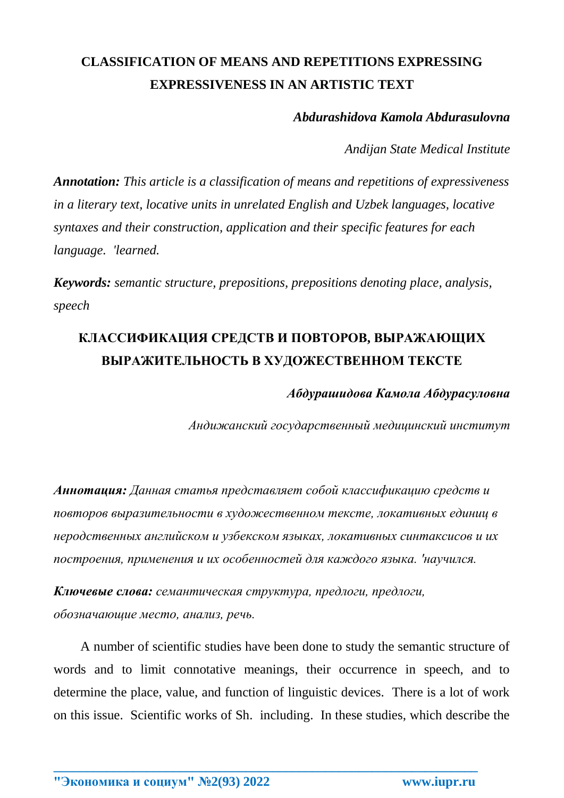## **CLASSIFICATION OF MEANS AND REPETITIONS EXPRESSING EXPRESSIVENESS IN AN ARTISTIC TEXT**

*Abdurashidova Kamola Abdurasulovna*

*Andijan State Medical Institute*

*Annotation: This article is a classification of means and repetitions of expressiveness in a literary text, locative units in unrelated English and Uzbek languages, locative syntaxes and their construction, application and their specific features for each language. 'learned.*

*Keywords: semantic structure, prepositions, prepositions denoting place, analysis, speech*

## **КЛАССИФИКАЦИЯ СРЕДСТВ И ПОВТОРОВ, ВЫРАЖАЮЩИХ ВЫРАЖИТЕЛЬНОСТЬ В ХУДОЖЕСТВЕННОМ ТЕКСТЕ**

*Абдурашидова Камола Абдурасуловна*

*Андижанский государственный медицинский институт*

*Аннотация: Данная статья представляет собой классификацию средств и повторов выразительности в художественном тексте, локативных единиц в неродственных английском и узбекском языках, локативных синтаксисов и их построения, применения и их особенностей для каждого языка. 'научился.*

*Ключевые слова: семантическая структура, предлоги, предлоги, обозначающие место, анализ, речь.*

A number of scientific studies have been done to study the semantic structure of words and to limit connotative meanings, their occurrence in speech, and to determine the place, value, and function of linguistic devices. There is a lot of work on this issue. Scientific works of Sh. including. In these studies, which describe the

**\_\_\_\_\_\_\_\_\_\_\_\_\_\_\_\_\_\_\_\_\_\_\_\_\_\_\_\_\_\_\_\_\_\_\_\_\_\_\_\_\_\_\_\_\_\_\_\_\_\_\_\_\_\_\_\_\_\_\_\_\_\_\_\_**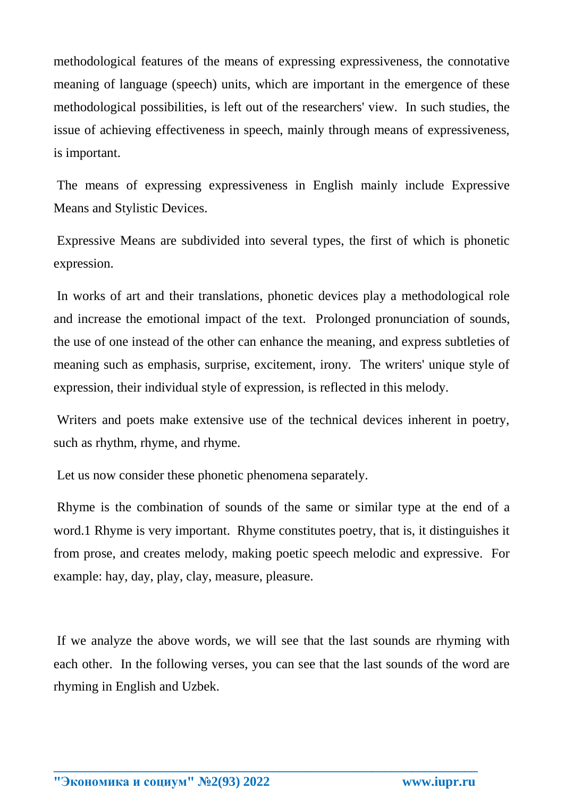methodological features of the means of expressing expressiveness, the connotative meaning of language (speech) units, which are important in the emergence of these methodological possibilities, is left out of the researchers' view. In such studies, the issue of achieving effectiveness in speech, mainly through means of expressiveness, is important.

The means of expressing expressiveness in English mainly include Expressive Means and Stylistic Devices.

Expressive Means are subdivided into several types, the first of which is phonetic expression.

In works of art and their translations, phonetic devices play a methodological role and increase the emotional impact of the text. Prolonged pronunciation of sounds, the use of one instead of the other can enhance the meaning, and express subtleties of meaning such as emphasis, surprise, excitement, irony. The writers' unique style of expression, their individual style of expression, is reflected in this melody.

Writers and poets make extensive use of the technical devices inherent in poetry, such as rhythm, rhyme, and rhyme.

Let us now consider these phonetic phenomena separately.

Rhyme is the combination of sounds of the same or similar type at the end of a word.1 Rhyme is very important. Rhyme constitutes poetry, that is, it distinguishes it from prose, and creates melody, making poetic speech melodic and expressive. For example: hay, day, play, clay, measure, pleasure.

If we analyze the above words, we will see that the last sounds are rhyming with each other. In the following verses, you can see that the last sounds of the word are rhyming in English and Uzbek.

**\_\_\_\_\_\_\_\_\_\_\_\_\_\_\_\_\_\_\_\_\_\_\_\_\_\_\_\_\_\_\_\_\_\_\_\_\_\_\_\_\_\_\_\_\_\_\_\_\_\_\_\_\_\_\_\_\_\_\_\_\_\_\_\_**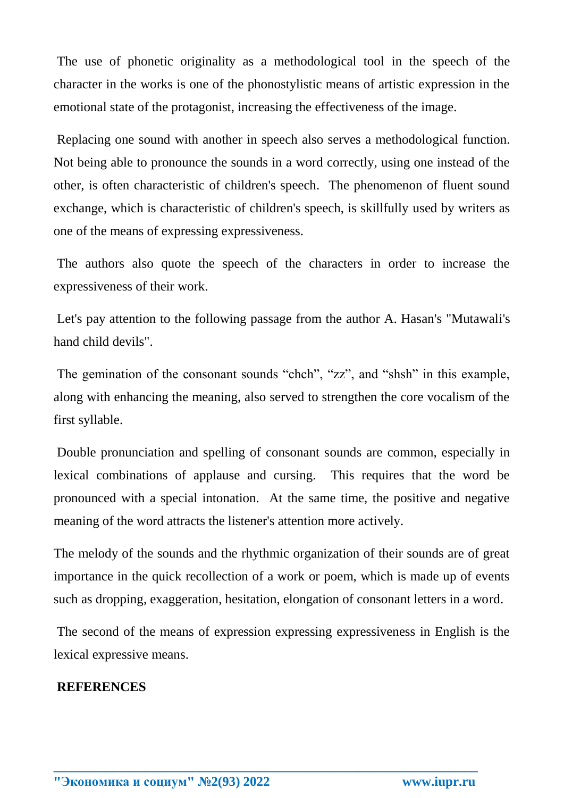The use of phonetic originality as a methodological tool in the speech of the character in the works is one of the phonostylistic means of artistic expression in the emotional state of the protagonist, increasing the effectiveness of the image.

Replacing one sound with another in speech also serves a methodological function. Not being able to pronounce the sounds in a word correctly, using one instead of the other, is often characteristic of children's speech. The phenomenon of fluent sound exchange, which is characteristic of children's speech, is skillfully used by writers as one of the means of expressing expressiveness.

The authors also quote the speech of the characters in order to increase the expressiveness of their work.

Let's pay attention to the following passage from the author A. Hasan's "Mutawali's hand child devils".

The gemination of the consonant sounds "chch", "zz", and "shsh" in this example, along with enhancing the meaning, also served to strengthen the core vocalism of the first syllable.

Double pronunciation and spelling of consonant sounds are common, especially in lexical combinations of applause and cursing. This requires that the word be pronounced with a special intonation. At the same time, the positive and negative meaning of the word attracts the listener's attention more actively.

The melody of the sounds and the rhythmic organization of their sounds are of great importance in the quick recollection of a work or poem, which is made up of events such as dropping, exaggeration, hesitation, elongation of consonant letters in a word.

The second of the means of expression expressing expressiveness in English is the lexical expressive means.

**\_\_\_\_\_\_\_\_\_\_\_\_\_\_\_\_\_\_\_\_\_\_\_\_\_\_\_\_\_\_\_\_\_\_\_\_\_\_\_\_\_\_\_\_\_\_\_\_\_\_\_\_\_\_\_\_\_\_\_\_\_\_\_\_**

## **REFERENCES**